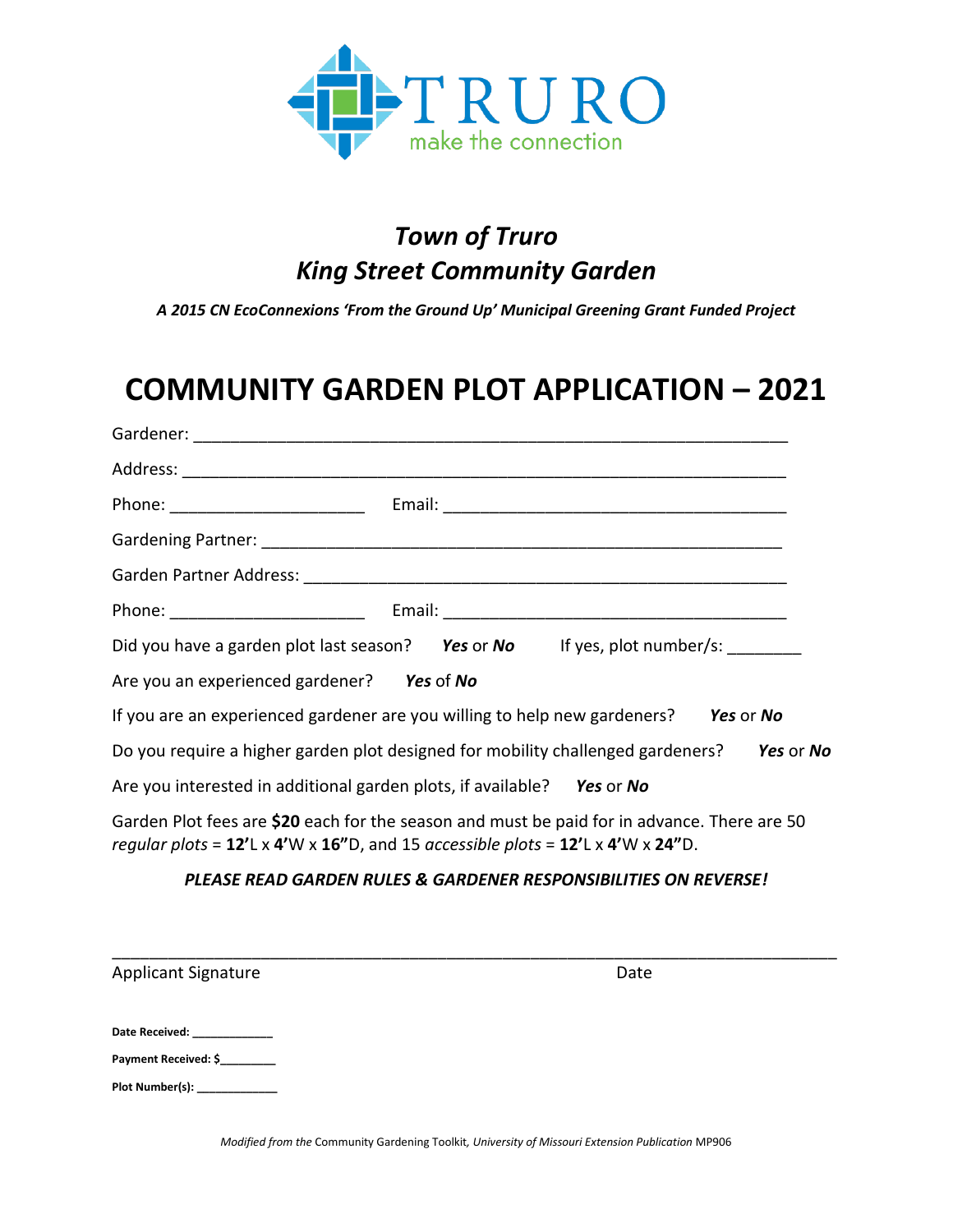

## *Town of Truro King Street Community Garden*

*A 2015 CN EcoConnexions 'From the Ground Up' Municipal Greening Grant Funded Project*

## **COMMUNITY GARDEN PLOT APPLICATION – 2021**

| Phone: ____________________________                                                                                                                                                  |                                                                                           |  |
|--------------------------------------------------------------------------------------------------------------------------------------------------------------------------------------|-------------------------------------------------------------------------------------------|--|
|                                                                                                                                                                                      |                                                                                           |  |
|                                                                                                                                                                                      |                                                                                           |  |
|                                                                                                                                                                                      |                                                                                           |  |
|                                                                                                                                                                                      | Did you have a garden plot last season? Yes or No If yes, plot number/s:                  |  |
| Are you an experienced gardener? Yes of No                                                                                                                                           |                                                                                           |  |
|                                                                                                                                                                                      | If you are an experienced gardener are you willing to help new gardeners? Yes or No       |  |
|                                                                                                                                                                                      | Do you require a higher garden plot designed for mobility challenged gardeners? Yes or No |  |
| Are you interested in additional garden plots, if available? Yes or No                                                                                                               |                                                                                           |  |
| Garden Plot fees are \$20 each for the season and must be paid for in advance. There are 50<br>regular plots = $12'$ L x 4'W x 16"D, and 15 accessible plots = $12'$ L x 4'W x 24"D. |                                                                                           |  |

## *PLEASE READ GARDEN RULES & GARDENER RESPONSIBILITIES ON REVERSE!*

| Applicant Signature           | Date |  |
|-------------------------------|------|--|
| Date Received: _____________  |      |  |
| Payment Received: \$          |      |  |
| Plot Number(s): _____________ |      |  |